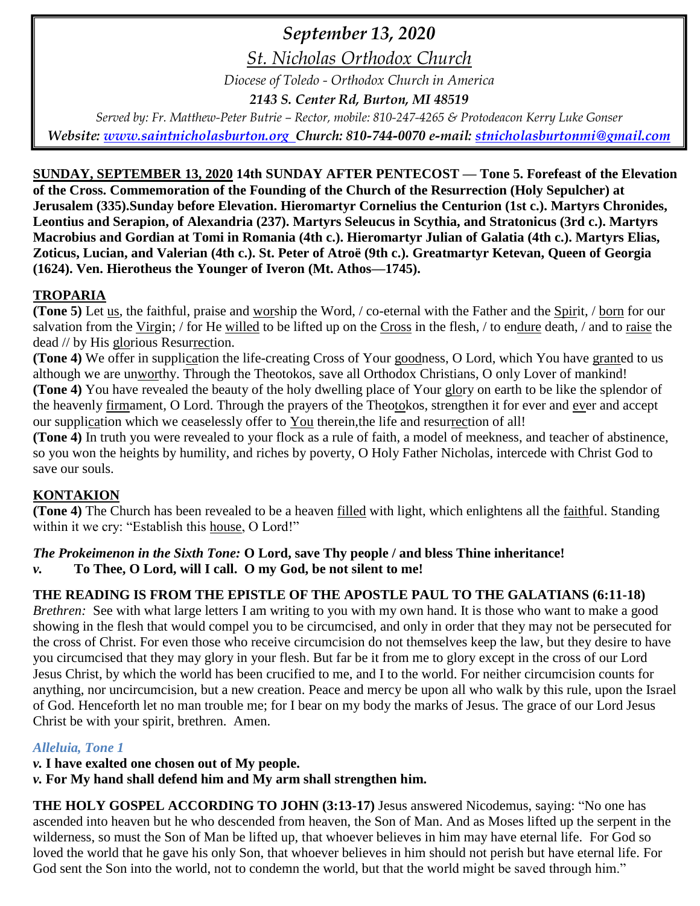# *September 13, 2020*

*St. Nicholas Orthodox Church*

*Diocese of Toledo - Orthodox Church in America*

*2143 S. Center Rd, Burton, MI 48519*

*Served by: Fr. Matthew-Peter Butrie – Rector, mobile: 810-247-4265 & Protodeacon Kerry Luke Gonser Website: [www.saintnicholasburton.org](http://www.saintnicholasburton.org/) Church: 810-744-0070 e-mail: [stnicholasburtonmi@gmail.com](mailto:stnicholasburtonmi@gmail.com)*

**SUNDAY, SEPTEMBER 13, 2020 14th SUNDAY AFTER PENTECOST — Tone 5. Forefeast of the Elevation of the Cross. Commemoration of the Founding of the Church of the Resurrection (Holy Sepulcher) at Jerusalem (335).Sunday before Elevation. Hieromartyr Cornelius the Centurion (1st c.). Martyrs Chronides, Leontius and Serapion, of Alexandria (237). Martyrs Seleucus in Scythia, and Stratonicus (3rd c.). Martyrs Macrobius and Gordian at Tomi in Romania (4th c.). Hieromartyr Julian of Galatia (4th c.). Martyrs Elias, Zoticus, Lucian, and Valerian (4th c.). St. Peter of Atroë (9th c.). Greatmartyr Ketevan, Queen of Georgia (1624). Ven. Hierotheus the Younger of Iveron (Mt. Athos—1745).**

## **TROPARIA**

**(Tone 5)** Let us, the faithful, praise and worship the Word, / co-eternal with the Father and the Spirit, / born for our salvation from the Virgin; / for He willed to be lifted up on the Cross in the flesh, / to endure death, / and to raise the dead // by His glorious Resurrection.

**(Tone 4)** We offer in supplication the life-creating Cross of Your goodness, O Lord, which You have granted to us although we are unworthy. Through the Theotokos, save all Orthodox Christians, O only Lover of mankind! **(Tone 4)** You have revealed the beauty of the holy dwelling place of Your glory on earth to be like the splendor of the heavenly firmament, O Lord. Through the prayers of the Theotokos, strengthen it for ever and ever and accept our supplication which we ceaselessly offer to You therein,the life and resurrection of all!

**(Tone 4)** In truth you were revealed to your flock as a rule of faith, a model of meekness, and teacher of abstinence, so you won the heights by humility, and riches by poverty, O Holy Father Nicholas, intercede with Christ God to save our souls.

# **KONTAKION**

**(Tone 4)** The Church has been revealed to be a heaven filled with light, which enlightens all the faithful. Standing within it we cry: "Establish this house, O Lord!"

### *The Prokeimenon in the Sixth Tone:* **O Lord, save Thy people / and bless Thine inheritance!** *v.* **To Thee, O Lord, will I call. O my God, be not silent to me!**

## **THE READING IS FROM THE EPISTLE OF THE APOSTLE PAUL TO THE GALATIANS (6:11-18)**

*Brethren:* See with what large letters I am writing to you with my own hand. It is those who want to make a good showing in the flesh that would compel you to be circumcised, and only in order that they may not be persecuted for the cross of Christ. For even those who receive circumcision do not themselves keep the law, but they desire to have you circumcised that they may glory in your flesh. But far be it from me to glory except in the cross of our Lord Jesus Christ, by which the world has been crucified to me, and I to the world. For neither circumcision counts for anything, nor uncircumcision, but a new creation. Peace and mercy be upon all who walk by this rule, upon the Israel of God. Henceforth let no man trouble me; for I bear on my body the marks of Jesus. The grace of our Lord Jesus Christ be with your spirit, brethren. Amen.

## *Alleluia, Tone 1*

*v.* **I have exalted one chosen out of My people.**

*v.* **For My hand shall defend him and My arm shall strengthen him.**

**THE HOLY GOSPEL ACCORDING TO JOHN (3:13-17)** Jesus answered Nicodemus, saying: "No one has ascended into heaven but he who descended from heaven, the Son of Man. And as Moses lifted up the serpent in the wilderness, so must the Son of Man be lifted up, that whoever believes in him may have eternal life. For God so loved the world that he gave his only Son, that whoever believes in him should not perish but have eternal life. For God sent the Son into the world, not to condemn the world, but that the world might be saved through him."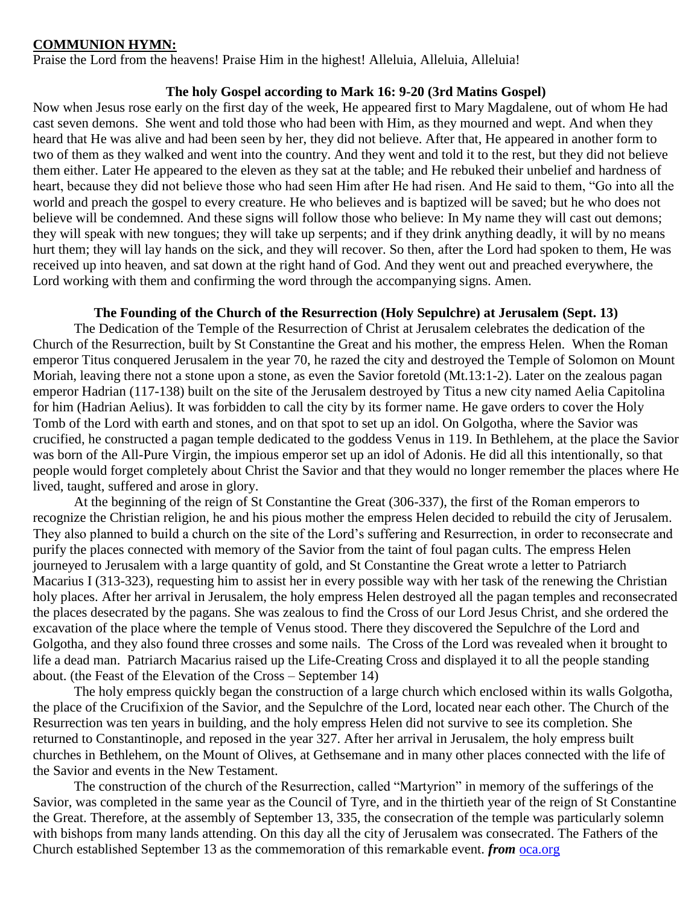#### **COMMUNION HYMN:**

Praise the Lord from the heavens! Praise Him in the highest! Alleluia, Alleluia, Alleluia!

#### **The holy Gospel according to Mark 16: 9-20 (3rd Matins Gospel)**

Now when Jesus rose early on the first day of the week, He appeared first to Mary Magdalene, out of whom He had cast seven demons. She went and told those who had been with Him, as they mourned and wept. And when they heard that He was alive and had been seen by her, they did not believe. After that, He appeared in another form to two of them as they walked and went into the country. And they went and told it to the rest, but they did not believe them either. Later He appeared to the eleven as they sat at the table; and He rebuked their unbelief and hardness of heart, because they did not believe those who had seen Him after He had risen. And He said to them, "Go into all the world and preach the gospel to every creature. He who believes and is baptized will be saved; but he who does not believe will be condemned. And these signs will follow those who believe: In My name they will cast out demons; they will speak with new tongues; they will take up serpents; and if they drink anything deadly, it will by no means hurt them; they will lay hands on the sick, and they will recover. So then, after the Lord had spoken to them, He was received up into heaven, and sat down at the right hand of God. And they went out and preached everywhere, the Lord working with them and confirming the word through the accompanying signs. Amen.

#### **The Founding of the Church of the Resurrection (Holy Sepulchre) at Jerusalem (Sept. 13)**

The Dedication of the Temple of the Resurrection of Christ at Jerusalem celebrates the dedication of the Church of the Resurrection, built by St Constantine the Great and his mother, the empress Helen. When the Roman emperor Titus conquered Jerusalem in the year 70, he razed the city and destroyed the Temple of Solomon on Mount Moriah, leaving there not a stone upon a stone, as even the Savior foretold (Mt.13:1-2). Later on the zealous pagan emperor Hadrian (117-138) built on the site of the Jerusalem destroyed by Titus a new city named Aelia Capitolina for him (Hadrian Aelius). It was forbidden to call the city by its former name. He gave orders to cover the Holy Tomb of the Lord with earth and stones, and on that spot to set up an idol. On Golgotha, where the Savior was crucified, he constructed a pagan temple dedicated to the goddess Venus in 119. In Bethlehem, at the place the Savior was born of the All-Pure Virgin, the impious emperor set up an idol of Adonis. He did all this intentionally, so that people would forget completely about Christ the Savior and that they would no longer remember the places where He lived, taught, suffered and arose in glory.

At the beginning of the reign of St Constantine the Great (306-337), the first of the Roman emperors to recognize the Christian religion, he and his pious mother the empress Helen decided to rebuild the city of Jerusalem. They also planned to build a church on the site of the Lord's suffering and Resurrection, in order to reconsecrate and purify the places connected with memory of the Savior from the taint of foul pagan cults. The empress Helen journeyed to Jerusalem with a large quantity of gold, and St Constantine the Great wrote a letter to Patriarch Macarius I (313-323), requesting him to assist her in every possible way with her task of the renewing the Christian holy places. After her arrival in Jerusalem, the holy empress Helen destroyed all the pagan temples and reconsecrated the places desecrated by the pagans. She was zealous to find the Cross of our Lord Jesus Christ, and she ordered the excavation of the place where the temple of Venus stood. There they discovered the Sepulchre of the Lord and Golgotha, and they also found three crosses and some nails. The Cross of the Lord was revealed when it brought to life a dead man. Patriarch Macarius raised up the Life-Creating Cross and displayed it to all the people standing about. (the Feast of the Elevation of the Cross – September 14)

The holy empress quickly began the construction of a large church which enclosed within its walls Golgotha, the place of the Crucifixion of the Savior, and the Sepulchre of the Lord, located near each other. The Church of the Resurrection was ten years in building, and the holy empress Helen did not survive to see its completion. She returned to Constantinople, and reposed in the year 327. After her arrival in Jerusalem, the holy empress built churches in Bethlehem, on the Mount of Olives, at Gethsemane and in many other places connected with the life of the Savior and events in the New Testament.

The construction of the church of the Resurrection, called "Martyrion" in memory of the sufferings of the Savior, was completed in the same year as the Council of Tyre, and in the thirtieth year of the reign of St Constantine the Great. Therefore, at the assembly of September 13, 335, the consecration of the temple was particularly solemn with bishops from many lands attending. On this day all the city of Jerusalem was consecrated. The Fathers of the Church established September 13 as the commemoration of this remarkable event. *from* [oca.org](https://www.oca.org/saints/lives/2020/09/13/102593-commemoration-of-the-founding-of-the-church-of-the-resurrection)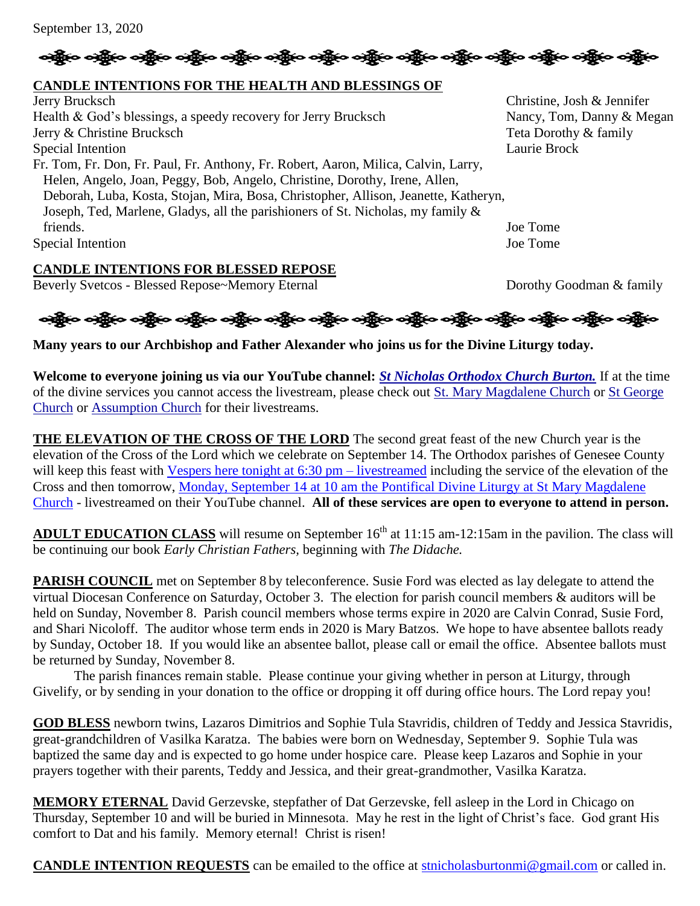

# **CANDLE INTENTIONS FOR THE HEALTH AND BLESSINGS OF**

Jerry Brucksch Christine, Josh & Jennifer Health & God's blessings, a speedy recovery for Jerry Brucksch Nancy, Tom, Danny & Megan Jerry & Christine Brucksch Teta Dorothy & family Special Intention Laurie Brock Fr. Tom, Fr. Don, Fr. Paul, Fr. Anthony, Fr. Robert, Aaron, Milica, Calvin, Larry, Helen, Angelo, Joan, Peggy, Bob, Angelo, Christine, Dorothy, Irene, Allen, Deborah, Luba, Kosta, Stojan, Mira, Bosa, Christopher, Allison, Jeanette, Katheryn, Joseph, Ted, Marlene, Gladys, all the parishioners of St. Nicholas, my family & friends. Joe Tome Special Intention Joe Tome

# **CANDLE INTENTIONS FOR BLESSED REPOSE**

Beverly Svetcos - Blessed Repose~Memory Eternal Dorothy Goodman & family



**Many years to our Archbishop and Father Alexander who joins us for the Divine Liturgy today.**

**Welcome to everyone joining us via our YouTube channel:** *[St Nicholas Orthodox Church Burton.](https://www.youtube.com/channel/UC59tV-Re443z-GCoETAUvfA)* If at the time of the divine services you cannot access the livestream, please check out [St. Mary Magdalene Church](https://www.youtube.com/channel/UClHAqZrWkXdYELujbbIslHg) or [St George](https://www.youtube.com/channel/UCpLWfxMIJK4uQOV41ekE6Wg/videos?view=2&flow=grid)  [Church](https://www.youtube.com/channel/UCpLWfxMIJK4uQOV41ekE6Wg/videos?view=2&flow=grid) or [Assumption Church](https://www.facebook.com/AssumptionGrandBlanc/) for their livestreams.

**THE ELEVATION OF THE CROSS OF THE LORD** The second great feast of the new Church year is the elevation of the Cross of the Lord which we celebrate on September 14. The Orthodox parishes of Genesee County will keep this feast with Vespers here [tonight at 6:30 pm](https://www.youtube.com/watch?v=HzDK7oi3I-o) – livestreamed including the service of the elevation of the Cross and then tomorrow, [Monday, September 14 at 10 am the Pontifical Divine Liturgy at St Mary Magdalene](https://www.youtube.com/watch?v=LXGI7mZBca4)  [Church](https://www.youtube.com/watch?v=LXGI7mZBca4) - livestreamed on their YouTube channel. **All of these services are open to everyone to attend in person.**

**ADULT EDUCATION CLASS** will resume on September 16<sup>th</sup> at 11:15 am-12:15am in the pavilion. The class will be continuing our book *Early Christian Fathers,* beginning with *The Didache.*

**PARISH COUNCIL** met on September 8 by teleconference. Susie Ford was elected as lay delegate to attend the virtual Diocesan Conference on Saturday, October 3. The election for parish council members & auditors will be held on Sunday, November 8. Parish council members whose terms expire in 2020 are Calvin Conrad, Susie Ford, and Shari Nicoloff. The auditor whose term ends in 2020 is Mary Batzos. We hope to have absentee ballots ready by Sunday, October 18. If you would like an absentee ballot, please call or email the office. Absentee ballots must be returned by Sunday, November 8.

The parish finances remain stable. Please continue your giving whether in person at Liturgy, through Givelify, or by sending in your donation to the office or dropping it off during office hours. The Lord repay you!

**GOD BLESS** newborn twins, Lazaros Dimitrios and Sophie Tula Stavridis, children of Teddy and Jessica Stavridis, great-grandchildren of Vasilka Karatza. The babies were born on Wednesday, September 9. Sophie Tula was baptized the same day and is expected to go home under hospice care. Please keep Lazaros and Sophie in your prayers together with their parents, Teddy and Jessica, and their great-grandmother, Vasilka Karatza.

**MEMORY ETERNAL** David Gerzevske, stepfather of Dat Gerzevske, fell asleep in the Lord in Chicago on Thursday, September 10 and will be buried in Minnesota. May he rest in the light of Christ's face. God grant His comfort to Dat and his family. Memory eternal! Christ is risen!

**CANDLE INTENTION REQUESTS** can be emailed to the office at [stnicholasburtonmi@gmail.com](mailto:stnicholasburtonmi@gmail.com) or called in.